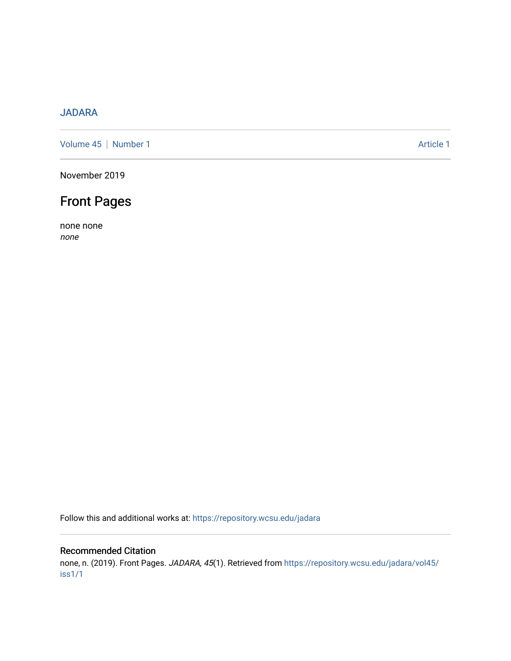### [JADARA](https://repository.wcsu.edu/jadara)

[Volume 45](https://repository.wcsu.edu/jadara/vol45) | [Number 1](https://repository.wcsu.edu/jadara/vol45/iss1) Article 1

November 2019

## Front Pages

none none none

Follow this and additional works at: [https://repository.wcsu.edu/jadara](https://repository.wcsu.edu/jadara?utm_source=repository.wcsu.edu%2Fjadara%2Fvol45%2Fiss1%2F1&utm_medium=PDF&utm_campaign=PDFCoverPages)

### Recommended Citation

none, n. (2019). Front Pages. JADARA, 45(1). Retrieved from [https://repository.wcsu.edu/jadara/vol45/](https://repository.wcsu.edu/jadara/vol45/iss1/1?utm_source=repository.wcsu.edu%2Fjadara%2Fvol45%2Fiss1%2F1&utm_medium=PDF&utm_campaign=PDFCoverPages) [iss1/1](https://repository.wcsu.edu/jadara/vol45/iss1/1?utm_source=repository.wcsu.edu%2Fjadara%2Fvol45%2Fiss1%2F1&utm_medium=PDF&utm_campaign=PDFCoverPages)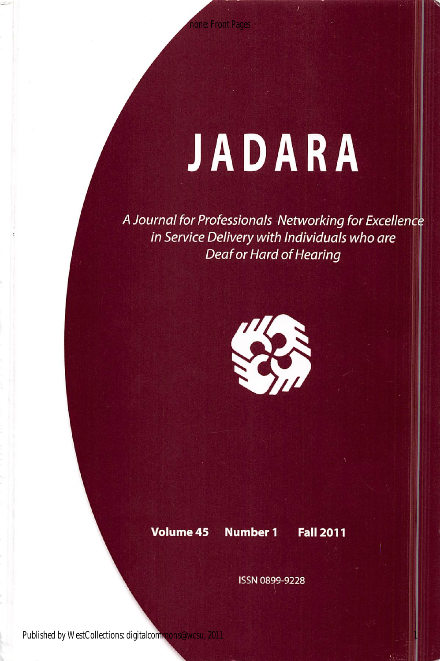# JADARA

A Journal for Professionals Networking for Excellence in Service Delivery with Individuals who are Deaf or Hard of Hearing



### Volume 45 Number 1 Fall 2011

1

ISSN 0899-9228

Published by WestCollections: digitalcommons@wcsu, 2011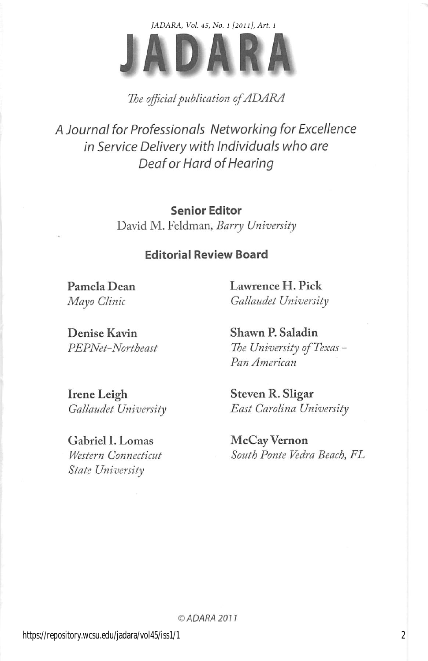*JADARA, Vol. 45, No. 1 [2011], Art. 1*

The official publication of ADARA

A Journal for Professionals Networking for Excellence in Service Delivery with Individuals who are Deaf or Hard of Hearing

> Senior Editor David M. Feldman, Barry University

### Editorial Review Board

Pamela Dean Lawrence H. Pick Mayo Clinic Gallaudet University

Denise Kavin Shawn P. Saladin

PEPNet-Northeast The University of Texas -Pan American

Irene Leigh Steven R. Sligar

Gabriel I. Lomas McCay Vernon State University

Gallaudet University East Carolina University

Western Connecticut South Ponte Vedra Beach, FL